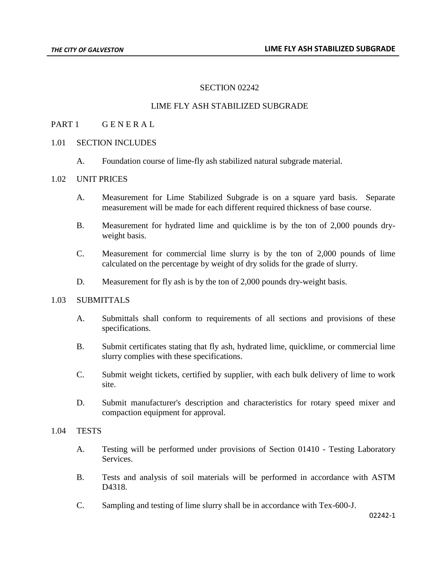# SECTION 02242

# LIME FLY ASH STABILIZED SUBGRADE

### PART 1 GENERAL

# 1.01 SECTION INCLUDES

A. Foundation course of lime-fly ash stabilized natural subgrade material.

### 1.02 UNIT PRICES

- A. Measurement for Lime Stabilized Subgrade is on a square yard basis. Separate measurement will be made for each different required thickness of base course.
- B. Measurement for hydrated lime and quicklime is by the ton of 2,000 pounds dryweight basis.
- C. Measurement for commercial lime slurry is by the ton of 2,000 pounds of lime calculated on the percentage by weight of dry solids for the grade of slurry.
- D. Measurement for fly ash is by the ton of 2,000 pounds dry-weight basis.

# 1.03 SUBMITTALS

- A. Submittals shall conform to requirements of all sections and provisions of these specifications.
- B. Submit certificates stating that fly ash, hydrated lime, quicklime, or commercial lime slurry complies with these specifications.
- C. Submit weight tickets, certified by supplier, with each bulk delivery of lime to work site.
- D. Submit manufacturer's description and characteristics for rotary speed mixer and compaction equipment for approval.

### 1.04 TESTS

- A. Testing will be performed under provisions of Section 01410 Testing Laboratory Services.
- B. Tests and analysis of soil materials will be performed in accordance with ASTM D4318.
- C. Sampling and testing of lime slurry shall be in accordance with Tex-600-J.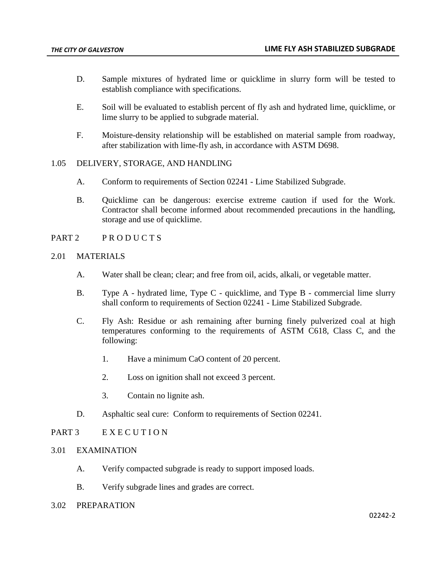- D. Sample mixtures of hydrated lime or quicklime in slurry form will be tested to establish compliance with specifications.
- E. Soil will be evaluated to establish percent of fly ash and hydrated lime, quicklime, or lime slurry to be applied to subgrade material.
- F. Moisture-density relationship will be established on material sample from roadway, after stabilization with lime-fly ash, in accordance with ASTM D698.

### 1.05 DELIVERY, STORAGE, AND HANDLING

- A. Conform to requirements of Section 02241 Lime Stabilized Subgrade.
- B. Quicklime can be dangerous: exercise extreme caution if used for the Work. Contractor shall become informed about recommended precautions in the handling, storage and use of quicklime.
- PART 2 PRODUCTS

#### 2.01 MATERIALS

- A. Water shall be clean; clear; and free from oil, acids, alkali, or vegetable matter.
- B. Type A hydrated lime, Type C quicklime, and Type B commercial lime slurry shall conform to requirements of Section 02241 - Lime Stabilized Subgrade.
- C. Fly Ash: Residue or ash remaining after burning finely pulverized coal at high temperatures conforming to the requirements of ASTM C618, Class C, and the following:
	- 1. Have a minimum CaO content of 20 percent.
	- 2. Loss on ignition shall not exceed 3 percent.
	- 3. Contain no lignite ash.
- D. Asphaltic seal cure: Conform to requirements of Section 02241.

### PART 3 E X E C U T I O N

# 3.01 EXAMINATION

- A. Verify compacted subgrade is ready to support imposed loads.
- B. Verify subgrade lines and grades are correct.
- 3.02 PREPARATION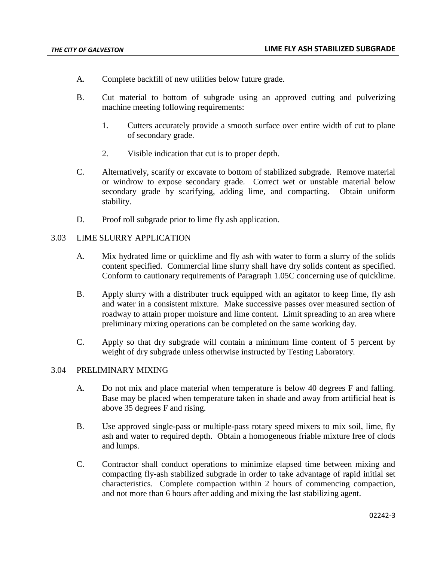- A. Complete backfill of new utilities below future grade.
- B. Cut material to bottom of subgrade using an approved cutting and pulverizing machine meeting following requirements:
	- 1. Cutters accurately provide a smooth surface over entire width of cut to plane of secondary grade.
	- 2. Visible indication that cut is to proper depth.
- C. Alternatively, scarify or excavate to bottom of stabilized subgrade. Remove material or windrow to expose secondary grade. Correct wet or unstable material below secondary grade by scarifying, adding lime, and compacting. Obtain uniform stability.
- D. Proof roll subgrade prior to lime fly ash application.

# 3.03 LIME SLURRY APPLICATION

- A. Mix hydrated lime or quicklime and fly ash with water to form a slurry of the solids content specified. Commercial lime slurry shall have dry solids content as specified. Conform to cautionary requirements of Paragraph 1.05C concerning use of quicklime.
- B. Apply slurry with a distributer truck equipped with an agitator to keep lime, fly ash and water in a consistent mixture. Make successive passes over measured section of roadway to attain proper moisture and lime content. Limit spreading to an area where preliminary mixing operations can be completed on the same working day.
- C. Apply so that dry subgrade will contain a minimum lime content of 5 percent by weight of dry subgrade unless otherwise instructed by Testing Laboratory.

#### 3.04 PRELIMINARY MIXING

- A. Do not mix and place material when temperature is below 40 degrees F and falling. Base may be placed when temperature taken in shade and away from artificial heat is above 35 degrees F and rising.
- B. Use approved single-pass or multiple-pass rotary speed mixers to mix soil, lime, fly ash and water to required depth. Obtain a homogeneous friable mixture free of clods and lumps.
- C. Contractor shall conduct operations to minimize elapsed time between mixing and compacting fly-ash stabilized subgrade in order to take advantage of rapid initial set characteristics. Complete compaction within 2 hours of commencing compaction, and not more than 6 hours after adding and mixing the last stabilizing agent.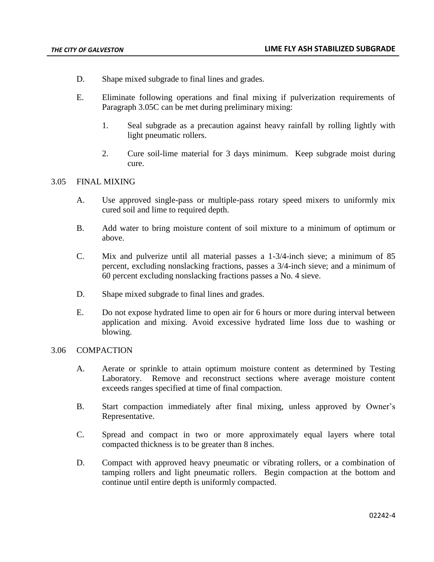- D. Shape mixed subgrade to final lines and grades.
- E. Eliminate following operations and final mixing if pulverization requirements of Paragraph 3.05C can be met during preliminary mixing:
	- 1. Seal subgrade as a precaution against heavy rainfall by rolling lightly with light pneumatic rollers.
	- 2. Cure soil-lime material for 3 days minimum. Keep subgrade moist during cure.

#### 3.05 FINAL MIXING

- A. Use approved single-pass or multiple-pass rotary speed mixers to uniformly mix cured soil and lime to required depth.
- B. Add water to bring moisture content of soil mixture to a minimum of optimum or above.
- C. Mix and pulverize until all material passes a 1-3/4-inch sieve; a minimum of 85 percent, excluding nonslacking fractions, passes a 3/4-inch sieve; and a minimum of 60 percent excluding nonslacking fractions passes a No. 4 sieve.
- D. Shape mixed subgrade to final lines and grades.
- E. Do not expose hydrated lime to open air for 6 hours or more during interval between application and mixing. Avoid excessive hydrated lime loss due to washing or blowing.

#### 3.06 COMPACTION

- A. Aerate or sprinkle to attain optimum moisture content as determined by Testing Laboratory. Remove and reconstruct sections where average moisture content exceeds ranges specified at time of final compaction.
- B. Start compaction immediately after final mixing, unless approved by Owner's Representative.
- C. Spread and compact in two or more approximately equal layers where total compacted thickness is to be greater than 8 inches.
- D. Compact with approved heavy pneumatic or vibrating rollers, or a combination of tamping rollers and light pneumatic rollers. Begin compaction at the bottom and continue until entire depth is uniformly compacted.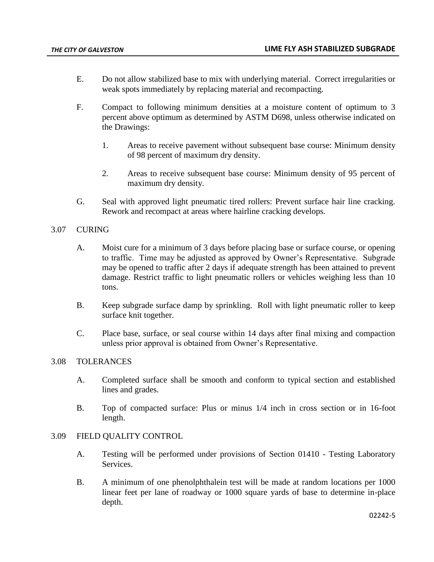- E. Do not allow stabilized base to mix with underlying material. Correct irregularities or weak spots immediately by replacing material and recompacting.
- F. Compact to following minimum densities at a moisture content of optimum to 3 percent above optimum as determined by ASTM D698, unless otherwise indicated on the Drawings:
	- 1. Areas to receive pavement without subsequent base course: Minimum density of 98 percent of maximum dry density.
	- 2. Areas to receive subsequent base course: Minimum density of 95 percent of maximum dry density.
- G. Seal with approved light pneumatic tired rollers: Prevent surface hair line cracking. Rework and recompact at areas where hairline cracking develops.

# 3.07 CURING

- A. Moist cure for a minimum of 3 days before placing base or surface course, or opening to traffic. Time may be adjusted as approved by Owner's Representative. Subgrade may be opened to traffic after 2 days if adequate strength has been attained to prevent damage. Restrict traffic to light pneumatic rollers or vehicles weighing less than 10 tons.
- B. Keep subgrade surface damp by sprinkling. Roll with light pneumatic roller to keep surface knit together.
- C. Place base, surface, or seal course within 14 days after final mixing and compaction unless prior approval is obtained from Owner's Representative.

### 3.08 TOLERANCES

- A. Completed surface shall be smooth and conform to typical section and established lines and grades.
- B. Top of compacted surface: Plus or minus 1/4 inch in cross section or in 16-foot length.

### 3.09 FIELD QUALITY CONTROL

- A. Testing will be performed under provisions of Section 01410 Testing Laboratory Services.
- B. A minimum of one phenolphthalein test will be made at random locations per 1000 linear feet per lane of roadway or 1000 square yards of base to determine in-place depth.